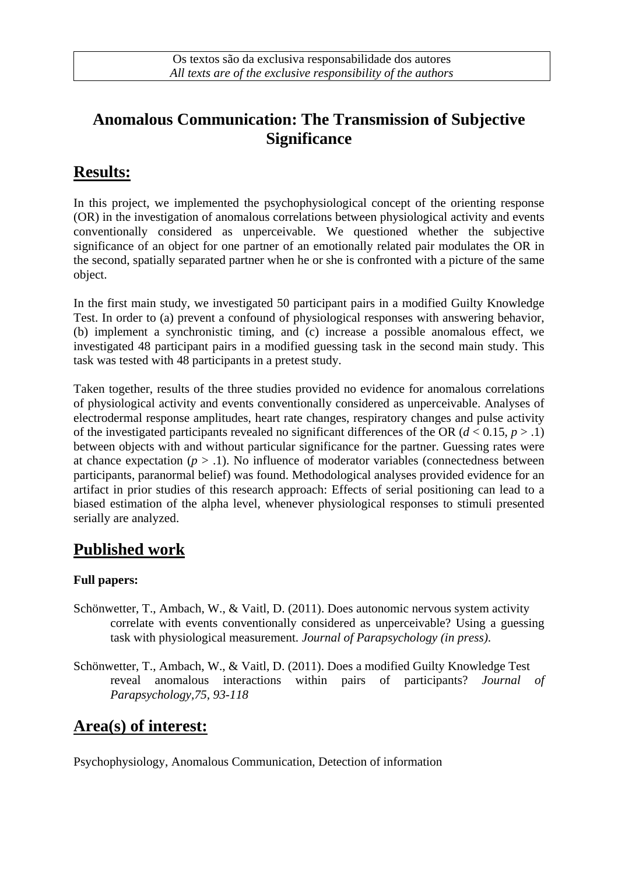## **Anomalous Communication: The Transmission of Subjective Significance**

### **Results:**

In this project, we implemented the psychophysiological concept of the orienting response (OR) in the investigation of anomalous correlations between physiological activity and events conventionally considered as unperceivable. We questioned whether the subjective significance of an object for one partner of an emotionally related pair modulates the OR in the second, spatially separated partner when he or she is confronted with a picture of the same object.

In the first main study, we investigated 50 participant pairs in a modified Guilty Knowledge Test. In order to (a) prevent a confound of physiological responses with answering behavior, (b) implement a synchronistic timing, and (c) increase a possible anomalous effect, we investigated 48 participant pairs in a modified guessing task in the second main study. This task was tested with 48 participants in a pretest study.

Taken together, results of the three studies provided no evidence for anomalous correlations of physiological activity and events conventionally considered as unperceivable. Analyses of electrodermal response amplitudes, heart rate changes, respiratory changes and pulse activity of the investigated participants revealed no significant differences of the OR ( $d < 0.15$ ,  $p > .1$ ) between objects with and without particular significance for the partner. Guessing rates were at chance expectation  $(p > 0.1)$ . No influence of moderator variables (connectedness between participants, paranormal belief) was found. Methodological analyses provided evidence for an artifact in prior studies of this research approach: Effects of serial positioning can lead to a biased estimation of the alpha level, whenever physiological responses to stimuli presented serially are analyzed.

### **Published work**

#### **Full papers:**

- Schönwetter, T., Ambach, W., & Vaitl, D. (2011). Does autonomic nervous system activity correlate with events conventionally considered as unperceivable? Using a guessing task with physiological measurement. *Journal of Parapsychology (in press)*.
- Schönwetter, T., Ambach, W., & Vaitl, D. (2011). Does a modified Guilty Knowledge Test reveal anomalous interactions within pairs of participants? *Journal of Parapsychology,75, 93-118*

### **Area(s) of interest:**

Psychophysiology, Anomalous Communication, Detection of information